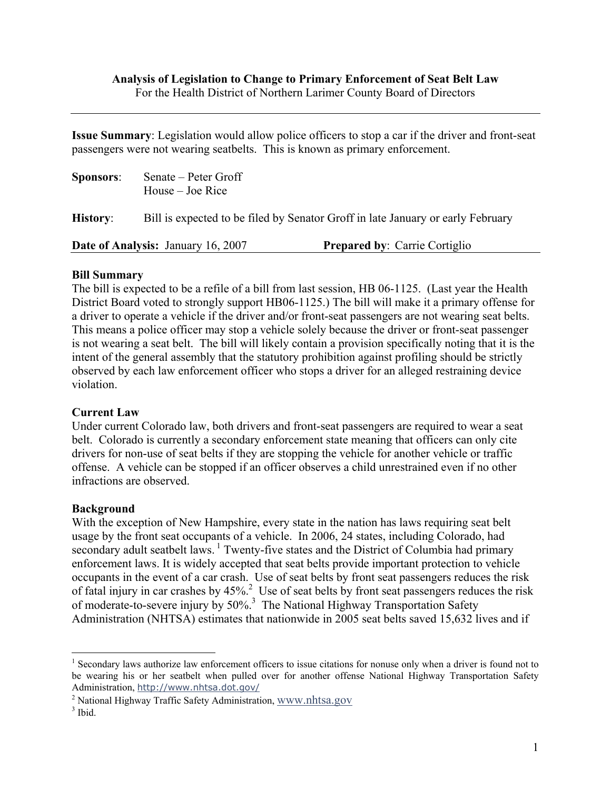**Issue Summary**: Legislation would allow police officers to stop a car if the driver and front-seat passengers were not wearing seatbelts. This is known as primary enforcement.

| <b>Sponsors:</b>                          | Senate – Peter Groff<br>House – Joe Rice                                        |                                      |
|-------------------------------------------|---------------------------------------------------------------------------------|--------------------------------------|
| <b>History:</b>                           | Bill is expected to be filed by Senator Groff in late January or early February |                                      |
| <b>Date of Analysis: January 16, 2007</b> |                                                                                 | <b>Prepared by: Carrie Cortiglio</b> |

#### **Bill Summary**

The bill is expected to be a refile of a bill from last session, HB 06-1125. (Last year the Health District Board voted to strongly support HB06-1125.) The bill will make it a primary offense for a driver to operate a vehicle if the driver and/or front-seat passengers are not wearing seat belts. This means a police officer may stop a vehicle solely because the driver or front-seat passenger is not wearing a seat belt. The bill will likely contain a provision specifically noting that it is the intent of the general assembly that the statutory prohibition against profiling should be strictly observed by each law enforcement officer who stops a driver for an alleged restraining device violation.

#### **Current Law**

Under current Colorado law, both drivers and front-seat passengers are required to wear a seat belt. Colorado is currently a secondary enforcement state meaning that officers can only cite drivers for non-use of seat belts if they are stopping the vehicle for another vehicle or traffic offense. A vehicle can be stopped if an officer observes a child unrestrained even if no other infractions are observed.

### **Background**

With the exception of New Hampshire, every state in the nation has laws requiring seat belt usage by the front seat occupants of a vehicle. In 2006, 24 states, including Colorado, had secondary adult seatbelt laws.<sup>1</sup> Twenty-five states and the District of Columbia had primary enforcement laws. It is widely accepted that seat belts provide important protection to vehicle occupants in the event of a car crash. Use of seat belts by front seat passengers reduces the risk of fatal injury in car crashes by  $45\%$ <sup>2</sup> Use of seat belts by front seat passengers reduces the risk of moderate-to-severe injury by 50%.<sup>3</sup> The National Highway Transportation Safety Administration (NHTSA) estimates that nationwide in 2005 seat belts saved 15,632 lives and if

 $\overline{a}$ 

<span id="page-0-0"></span><sup>&</sup>lt;sup>1</sup> Secondary laws authorize law enforcement officers to issue citations for nonuse only when a driver is found not to be wearing his or her seatbelt when pulled over for another offense National Highway Transportation Safety Administration, http://www.nhtsa.dot.gov/ 2

<span id="page-0-1"></span><sup>&</sup>lt;sup>2</sup> National Highway Traffic Safety Administration, [www.nhtsa.gov](http://www.nhtsa.gov/)

<span id="page-0-2"></span> $3$  Ibid.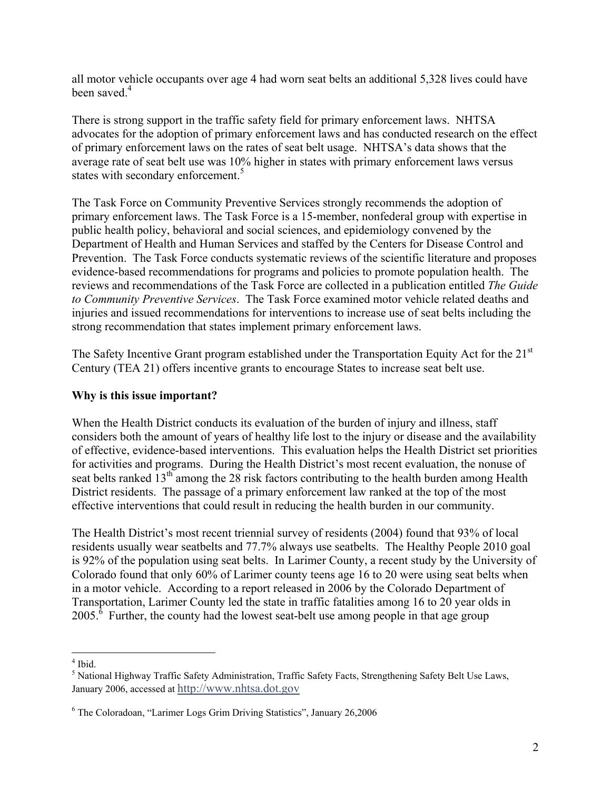all motor vehicle occupants over age 4 had worn seat belts an additional 5,328 lives could have been saved.<sup>4</sup>

There is strong support in the traffic safety field for primary enforcement laws. NHTSA advocates for the adoption of primary enforcement laws and has conducted research on the effect of primary enforcement laws on the rates of seat belt usage. NHTSA's data shows that the average rate of seat belt use was 10% higher in states with primary enforcement laws versus states with secondary enforcement.<sup>[5](#page-1-1)</sup>

The Task Force on Community Preventive Services strongly recommends the adoption of primary enforcement laws. The Task Force is a 15-member, nonfederal group with expertise in public health policy, behavioral and social sciences, and epidemiology convened by the Department of Health and Human Services and staffed by the Centers for Disease Control and Prevention. The Task Force conducts systematic reviews of the scientific literature and proposes evidence-based recommendations for programs and policies to promote population health. The reviews and recommendations of the Task Force are collected in a publication entitled *The Guide to Community Preventive Services*. The Task Force examined motor vehicle related deaths and injuries and issued recommendations for interventions to increase use of seat belts including the strong recommendation that states implement primary enforcement laws.

The Safety Incentive Grant program established under the Transportation Equity Act for the 21<sup>st</sup> Century (TEA 21) offers incentive grants to encourage States to increase seat belt use.

# **Why is this issue important?**

When the Health District conducts its evaluation of the burden of injury and illness, staff considers both the amount of years of healthy life lost to the injury or disease and the availability of effective, evidence-based interventions. This evaluation helps the Health District set priorities for activities and programs. During the Health District's most recent evaluation, the nonuse of seat belts ranked 13<sup>th</sup> among the 28 risk factors contributing to the health burden among Health District residents. The passage of a primary enforcement law ranked at the top of the most effective interventions that could result in reducing the health burden in our community.

The Health District's most recent triennial survey of residents (2004) found that 93% of local residents usually wear seatbelts and 77.7% always use seatbelts. The Healthy People 2010 goal is 92% of the population using seat belts. In Larimer County, a recent study by the University of Colorado found that only 60% of Larimer county teens age 16 to 20 were using seat belts when in a motor vehicle. According to a report released in 2006 by the Colorado Department of Transportation, Larimer County led the state in traffic fatalities among 16 to 20 year olds in  $2005$ <sup>.6</sup>Further, the county had the lowest seat-belt use among people in that age group

 $\frac{1}{4}$ 

<span id="page-1-1"></span><span id="page-1-0"></span><sup>&</sup>lt;sup>4</sup> Ibid.<br><sup>5</sup> National Highway Traffic Safety Administration, Traffic Safety Facts, Strengthening Safety Belt Use Laws, January 2006, accessed at [http://www.nhtsa.dot.gov](http://www.nhtsa.dot.gov/)

<span id="page-1-2"></span><sup>&</sup>lt;sup>6</sup> The Coloradoan, "Larimer Logs Grim Driving Statistics", January 26,2006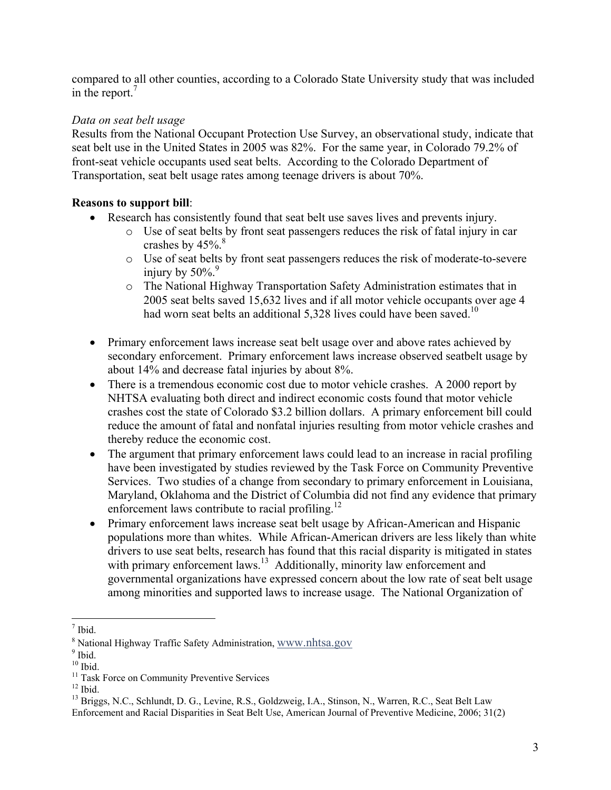compared to all other counties, according to a Colorado State University study that was included in the report. $<sup>7</sup>$  $<sup>7</sup>$  $<sup>7</sup>$ </sup>

## *Data on seat belt usage*

Results from the National Occupant Protection Use Survey, an observational study, indicate that seat belt use in the United States in 2005 was 82%. For the same year, in Colorado 79.2% of front-seat vehicle occupants used seat belts. According to the Colorado Department of Transportation, seat belt usage rates among teenage drivers is about 70%.

## **Reasons to support bill**:

- Research has consistently found that seat belt use saves lives and prevents injury.
	- o Use of seat belts by front seat passengers reduces the risk of fatal injury in car crashes by  $45\%$ .<sup>8</sup>
	- o Use of seat belts by front seat passengers reduces the risk of moderate-to-severe injury by  $50\%$ .
	- o The National Highway Transportation Safety Administration estimates that in 2005 seat belts saved 15,632 lives and if all motor vehicle occupants over age 4 had worn seat belts an additional 5,328 lives could have been saved.<sup>10</sup>
- Primary enforcement laws increase seat belt usage over and above rates achieved by secondary enforcement. Primary enforcement laws increase observed seatbelt usage by about 14% and decrease fatal injuries by about 8%.
- There is a tremendous economic cost due to motor vehicle crashes. A 2000 report by NHTSA evaluating both direct and indirect economic costs found that motor vehicle crashes cost the state of Colorado \$3.2 billion dollars. A primary enforcement bill could reduce the amount of fatal and nonfatal injuries resulting from motor vehicle crashes and thereby reduce the economic cost.
- The argument that primary enforcement laws could lead to an increase in racial profiling have been investigated by studies reviewed by the Task Force on Community Preventive Services. Two studies of a change from secondary to primary enforcement in Louisiana, Maryland, Oklahoma and the District of Columbia did not find any evidence that primary enforcement laws contribute to racial profiling.<sup>[12](#page-2-5)</sup>
- Primary enforcement laws increase seat belt usage by African-American and Hispanic populations more than whites. While African-American drivers are less likely than white drivers to use seat belts, research has found that this racial disparity is mitigated in states with primary enforcement laws.<sup>13</sup> Additionally, minority law enforcement and governmental organizations have expressed concern about the low rate of seat belt usage among minorities and supported laws to increase usage. The National Organization of

<span id="page-2-0"></span><sup>1</sup>  $<sup>7</sup>$  Ibid</sup>  $\frac{1}{8}$  Notic

<span id="page-2-1"></span> $\frac{8}{9}$  National Highway Traffic Safety Administration,  $\frac{WWW.nhtsa.gov}{100}$ 

<span id="page-2-2"></span>

<span id="page-2-3"></span>

<span id="page-2-4"></span>

<span id="page-2-6"></span><span id="page-2-5"></span>

<sup>&</sup>lt;sup>9</sup> Ibid.  $10$  Ibid.<br>
<sup>10</sup> Ibid.  $11$  Task Force on Community Preventive Services  $12$  Ibid.<br>
<sup>13</sup> Briggs, N.C., Schlundt, D. G., Levine, R.S., Goldzweig, I.A., Stinson, N., Warren, R.C., Seat Belt Law

Enforcement and Racial Disparities in Seat Belt Use, American Journal of Preventive Medicine, 2006; 31(2)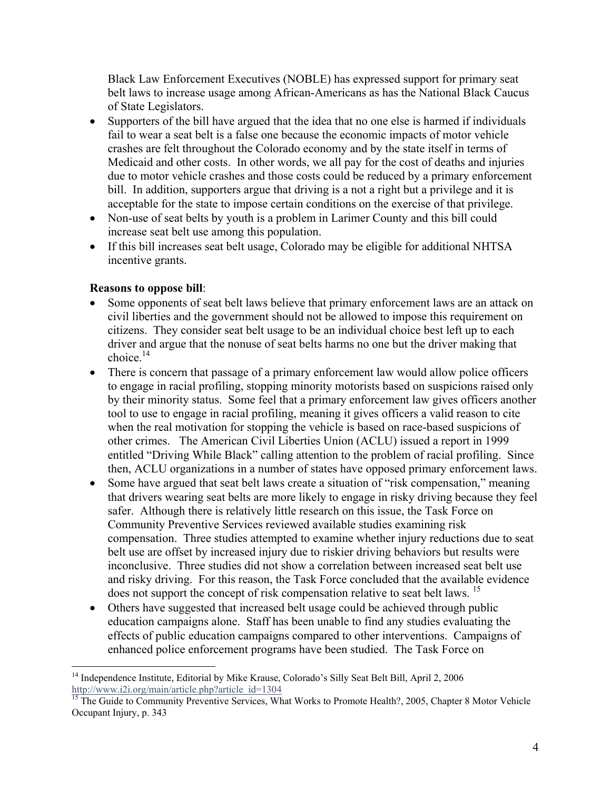Black Law Enforcement Executives (NOBLE) has expressed support for primary seat belt laws to increase usage among African-Americans as has the National Black Caucus of State Legislators.

- Supporters of the bill have argued that the idea that no one else is harmed if individuals fail to wear a seat belt is a false one because the economic impacts of motor vehicle crashes are felt throughout the Colorado economy and by the state itself in terms of Medicaid and other costs. In other words, we all pay for the cost of deaths and injuries due to motor vehicle crashes and those costs could be reduced by a primary enforcement bill. In addition, supporters argue that driving is a not a right but a privilege and it is acceptable for the state to impose certain conditions on the exercise of that privilege.
- Non-use of seat belts by youth is a problem in Larimer County and this bill could increase seat belt use among this population.
- If this bill increases seat belt usage, Colorado may be eligible for additional NHTSA incentive grants.

## **Reasons to oppose bill**:

 $\overline{a}$ 

- Some opponents of seat belt laws believe that primary enforcement laws are an attack on civil liberties and the government should not be allowed to impose this requirement on citizens. They consider seat belt usage to be an individual choice best left up to each driver and argue that the nonuse of seat belts harms no one but the driver making that choice $14$
- There is concern that passage of a primary enforcement law would allow police officers to engage in racial profiling, stopping minority motorists based on suspicions raised only by their minority status. Some feel that a primary enforcement law gives officers another tool to use to engage in racial profiling, meaning it gives officers a valid reason to cite when the real motivation for stopping the vehicle is based on race-based suspicions of other crimes. The American Civil Liberties Union (ACLU) issued a report in 1999 entitled "Driving While Black" calling attention to the problem of racial profiling. Since then, ACLU organizations in a number of states have opposed primary enforcement laws.
- Some have argued that seat belt laws create a situation of "risk compensation," meaning that drivers wearing seat belts are more likely to engage in risky driving because they feel safer. Although there is relatively little research on this issue, the Task Force on Community Preventive Services reviewed available studies examining risk compensation. Three studies attempted to examine whether injury reductions due to seat belt use are offset by increased injury due to riskier driving behaviors but results were inconclusive. Three studies did not show a correlation between increased seat belt use and risky driving. For this reason, the Task Force concluded that the available evidence does not support the concept of risk compensation relative to seat belt laws.<sup>[15](#page-3-1)</sup>
- Others have suggested that increased belt usage could be achieved through public education campaigns alone. Staff has been unable to find any studies evaluating the effects of public education campaigns compared to other interventions. Campaigns of enhanced police enforcement programs have been studied. The Task Force on

<span id="page-3-0"></span><sup>&</sup>lt;sup>14</sup> Independence Institute, Editorial by Mike Krause, Colorado's Silly Seat Belt Bill, April 2, 2006 [http://www.i2i.org/main/article.php?article\\_id=1304](http://www.i2i.org/main/article.php?article_id=1304)<br><sup>[15](http://www.i2i.org/main/article.php?article_id=1304)</sup> The Guide to Community Preventive Services, What Works to Promote Health?, 2005, Chapter 8 Motor Vehicle

<span id="page-3-1"></span>Occupant Injury, p. 343